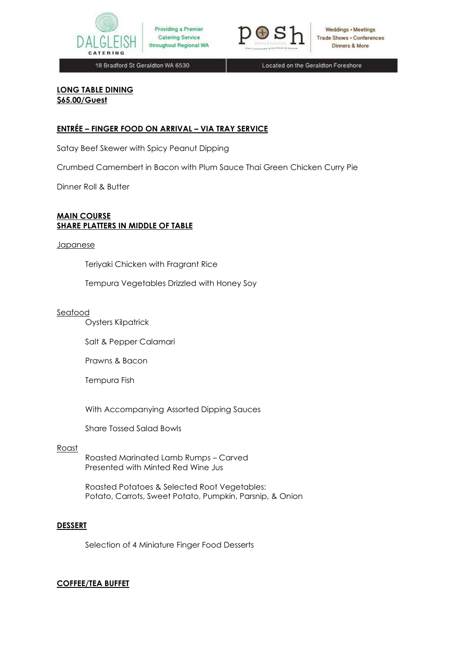



**Weddings • Meetings Trade Shows . Conferences** Dinners & More

18 Bradford St Geraldton WA 6530

Located on the Geraldton Foreshore

# **LONG TABLE DINING \$65.00/Guest**

## **ENTRÉE – FINGER FOOD ON ARRIVAL – VIA TRAY SERVICE**

Satay Beef Skewer with Spicy Peanut Dipping

Crumbed Camembert in Bacon with Plum Sauce Thai Green Chicken Curry Pie

Dinner Roll & Butter

#### **MAIN COURSE SHARE PLATTERS IN MIDDLE OF TABLE**

#### **Japanese**

Teriyaki Chicken with Fragrant Rice

Tempura Vegetables Drizzled with Honey Soy

#### Seafood

Oysters Kilpatrick

Salt & Pepper Calamari

Prawns & Bacon

Tempura Fish

With Accompanying Assorted Dipping Sauces

Share Tossed Salad Bowls

#### Roast

Roasted Marinated Lamb Rumps – Carved Presented with Minted Red Wine Jus

Roasted Potatoes & Selected Root Vegetables: Potato, Carrots, Sweet Potato, Pumpkin, Parsnip, & Onion

#### **DESSERT**

Selection of 4 Miniature Finger Food Desserts

## **COFFEE/TEA BUFFET**